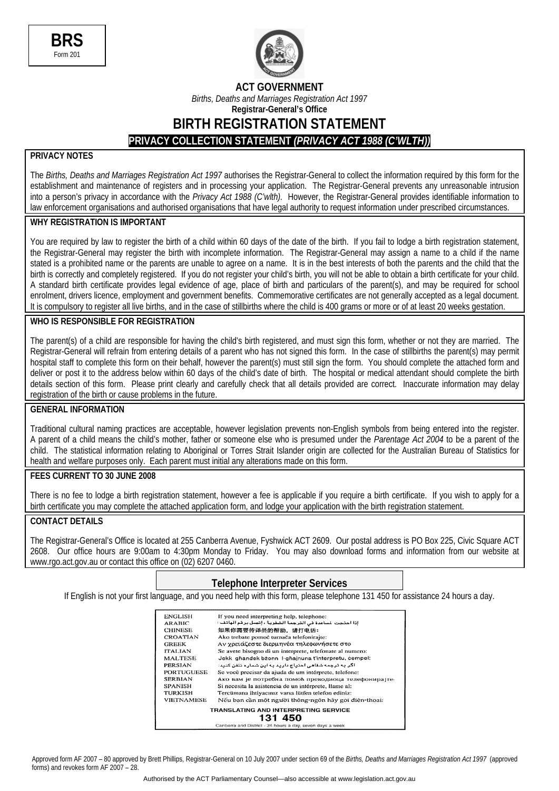



**ACT GOVERNMENT** 

*Births, Deaths and Marriages Registration Act 1997*  **Registrar-General's Office**

**BIRTH REGISTRATION STATEMENT** 

**PRIVACY COLLECTION STATEMENT** *(PRIVACY ACT 1988 (C'WLTH))*

### **PRIVACY NOTES**

The *Births, Deaths and Marriages Registration Act 1997* authorises the Registrar-General to collect the information required by this form for the establishment and maintenance of registers and in processing your application. The Registrar-General prevents any unreasonable intrusion into a person's privacy in accordance with the *Privacy Act 1988 (C'wlth).* However, the Registrar-General provides identifiable information to law enforcement organisations and authorised organisations that have legal authority to request information under prescribed circumstances.

### **WHY REGISTRATION IS IMPORTANT**

You are required by law to register the birth of a child within 60 days of the date of the birth. If you fail to lodge a birth registration statement, the Registrar-General may register the birth with incomplete information. The Registrar-General may assign a name to a child if the name stated is a prohibited name or the parents are unable to agree on a name. It is in the best interests of both the parents and the child that the birth is correctly and completely registered. If you do not register your child's birth, you will not be able to obtain a birth certificate for your child. A standard birth certificate provides legal evidence of age, place of birth and particulars of the parent(s), and may be required for school enrolment, drivers licence, employment and government benefits. Commemorative certificates are not generally accepted as a legal document. It is compulsory to register all live births, and in the case of stillbirths where the child is 400 grams or more or of at least 20 weeks gestation.

#### **WHO IS RESPONSIBLE FOR REGISTRATION**

The parent(s) of a child are responsible for having the child's birth registered, and must sign this form, whether or not they are married. The Registrar-General will refrain from entering details of a parent who has not signed this form. In the case of stillbirths the parent(s) may permit hospital staff to complete this form on their behalf, however the parent(s) must still sign the form. You should complete the attached form and deliver or post it to the address below within 60 days of the child's date of birth. The hospital or medical attendant should complete the birth details section of this form. Please print clearly and carefully check that all details provided are correct. Inaccurate information may delay registration of the birth or cause problems in the future.

### **GENERAL INFORMATION**

Traditional cultural naming practices are acceptable, however legislation prevents non-English symbols from being entered into the register. A parent of a child means the child's mother, father or someone else who is presumed under the *Parentage Act 2004* to be a parent of the child. The statistical information relating to Aboriginal or Torres Strait Islander origin are collected for the Australian Bureau of Statistics for health and welfare purposes only. Each parent must initial any alterations made on this form.

#### **FEES CURRENT TO 30 JUNE 2008**

There is no fee to lodge a birth registration statement, however a fee is applicable if you require a birth certificate. If you wish to apply for a birth certificate you may complete the attached application form, and lodge your application with the birth registration statement.

### **CONTACT DETAILS**

The Registrar-General's Office is located at 255 Canberra Avenue, Fyshwick ACT 2609. Our postal address is PO Box 225, Civic Square ACT 2608. Our office hours are 9:00am to 4:30pm Monday to Friday. You may also download forms and information from our website at www.rgo.act.gov.au or contact this office on (02) 6207 0460.

### **Telephone Interpreter Services**

If English is not your first language, and you need help with this form, please telephone 131 450 for assistance 24 hours a day.

| <b>ENGLISH</b>    | If you need interpreting help, telephone:                |
|-------------------|----------------------------------------------------------|
| <b>ARABIC</b>     | إذا احتجت لساعدة في الترجمة الشفوية ، إتصل برقم الهاتف : |
| <b>CHINESE</b>    | 如果你需要传译员的帮助, 请打电话:                                       |
| <b>CROATIAN</b>   | Ako trebate pomoć tumača telefonirajte:                  |
| <b>GREEK</b>      | Αν χρειάζεστε διερμηνέα τηλεφωνήσετε στο                 |
| <b>ITALIAN</b>    | Se avete bisogno di un interprete, telefonate al numero: |
| <b>MALTESE</b>    | Jekk ghandek bżonn I-ghajnuna t'interpretu, cempel:      |
| PERSIAN           | اگر به ترجمه شفاهی احتیاج دارید به این شماره تلفن کنید:  |
| <b>PORTUGUESE</b> | Se você precisar da ajuda de um intérprete, telefone:    |
| <b>SERBIAN</b>    | Ако вам је потребна помоћ преводиоца телефонирајте       |
| <b>SPANISH</b>    | Si necesita la asistencia de un intérprete, llame al:    |
| <b>TURKISH</b>    | Tercümana ihtiyacınız varsa lütfen telefon ediniz:       |
| <b>VIETNAMESE</b> | Nếu ban cần một người thông-ngôn hãy gọi điện-thoại:     |
|                   | TRANSLATING AND INTERPRETING SERVICE                     |
|                   | 131 450                                                  |
|                   | Capharra and District - 24 hours a day seven days a week |

Approved form AF 2007 – 80 approved by Brett Phillips, Registrar-General on 10 July 2007 under section 69 of the *Births, Deaths and Marriages Registration Act 1997* (approved forms) and revokes form AF 2007 – 28.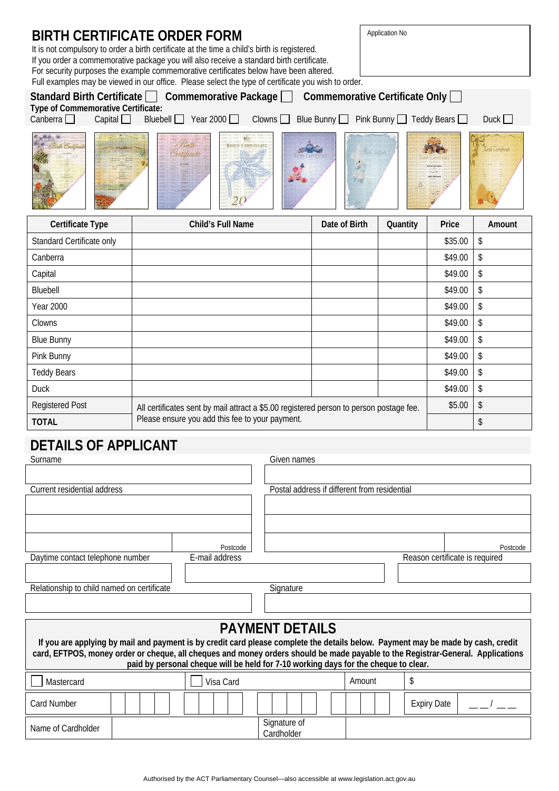| Application No<br>BIRTH CERTIFICATE ORDER FORM<br>It is not compulsory to order a birth certificate at the time a child's birth is registered.<br>If you order a commemorative package you will also receive a standard birth certificate.<br>For security purposes the example commemorative certificates below have been altered.<br>Full examples may be viewed in our office. Please select the type of certificate you wish to order.<br>Standard Birth Certificate   Commemorative Package   Commemorative Certificate Only<br>Type of Commemorative Certificate:<br>Bluebell $\Box$ Year 2000 $\Box$<br>Clowns<br>Canberra $\Box$<br>Capital<br>Blue Bunny $\Box$ Pink Bunny $\Box$ Teddy Bears $\Box$ |  |                                                                                         |             |               |                  | Duck $\Box$                    |          |
|---------------------------------------------------------------------------------------------------------------------------------------------------------------------------------------------------------------------------------------------------------------------------------------------------------------------------------------------------------------------------------------------------------------------------------------------------------------------------------------------------------------------------------------------------------------------------------------------------------------------------------------------------------------------------------------------------------------|--|-----------------------------------------------------------------------------------------|-------------|---------------|------------------|--------------------------------|----------|
| <b>BIRTH CERTIFICAT</b>                                                                                                                                                                                                                                                                                                                                                                                                                                                                                                                                                                                                                                                                                       |  |                                                                                         |             |               | Girth Certifical |                                |          |
| Certificate Type                                                                                                                                                                                                                                                                                                                                                                                                                                                                                                                                                                                                                                                                                              |  | Child's Full Name                                                                       |             | Date of Birth | Quantity         | Price                          | Amount   |
| Standard Certificate only                                                                                                                                                                                                                                                                                                                                                                                                                                                                                                                                                                                                                                                                                     |  |                                                                                         |             |               |                  | \$35.00                        | \$       |
| Canberra                                                                                                                                                                                                                                                                                                                                                                                                                                                                                                                                                                                                                                                                                                      |  |                                                                                         |             |               |                  | \$49.00                        | \$       |
| Capital                                                                                                                                                                                                                                                                                                                                                                                                                                                                                                                                                                                                                                                                                                       |  |                                                                                         |             |               |                  | \$49.00                        | \$       |
| Bluebell                                                                                                                                                                                                                                                                                                                                                                                                                                                                                                                                                                                                                                                                                                      |  |                                                                                         |             |               |                  | \$49.00                        | \$       |
| <b>Year 2000</b>                                                                                                                                                                                                                                                                                                                                                                                                                                                                                                                                                                                                                                                                                              |  |                                                                                         |             |               |                  | \$49.00                        | \$       |
| Clowns                                                                                                                                                                                                                                                                                                                                                                                                                                                                                                                                                                                                                                                                                                        |  |                                                                                         |             |               |                  | \$49.00                        | \$       |
| <b>Blue Bunny</b>                                                                                                                                                                                                                                                                                                                                                                                                                                                                                                                                                                                                                                                                                             |  |                                                                                         |             |               |                  | \$49.00                        | \$       |
| Pink Bunny                                                                                                                                                                                                                                                                                                                                                                                                                                                                                                                                                                                                                                                                                                    |  |                                                                                         |             |               |                  | \$49.00                        | \$       |
| <b>Teddy Bears</b>                                                                                                                                                                                                                                                                                                                                                                                                                                                                                                                                                                                                                                                                                            |  |                                                                                         |             |               |                  | \$49.00                        | \$       |
| <b>Duck</b>                                                                                                                                                                                                                                                                                                                                                                                                                                                                                                                                                                                                                                                                                                   |  |                                                                                         |             |               |                  | \$49.00                        | \$       |
| <b>Registered Post</b>                                                                                                                                                                                                                                                                                                                                                                                                                                                                                                                                                                                                                                                                                        |  | All certificates sent by mail attract a \$5.00 registered person to person postage fee. |             |               |                  | \$5.00                         | \$       |
| <b>TOTAL</b>                                                                                                                                                                                                                                                                                                                                                                                                                                                                                                                                                                                                                                                                                                  |  | Please ensure you add this fee to your payment.                                         |             |               |                  |                                | \$       |
| DETAILS OF APPLICANT                                                                                                                                                                                                                                                                                                                                                                                                                                                                                                                                                                                                                                                                                          |  |                                                                                         | Given names |               |                  |                                |          |
| Surname                                                                                                                                                                                                                                                                                                                                                                                                                                                                                                                                                                                                                                                                                                       |  |                                                                                         |             |               |                  |                                |          |
| Current residential address<br>Postal address if different from residential                                                                                                                                                                                                                                                                                                                                                                                                                                                                                                                                                                                                                                   |  |                                                                                         |             |               |                  |                                |          |
|                                                                                                                                                                                                                                                                                                                                                                                                                                                                                                                                                                                                                                                                                                               |  |                                                                                         |             |               |                  |                                |          |
|                                                                                                                                                                                                                                                                                                                                                                                                                                                                                                                                                                                                                                                                                                               |  |                                                                                         |             |               |                  |                                |          |
|                                                                                                                                                                                                                                                                                                                                                                                                                                                                                                                                                                                                                                                                                                               |  | Postcode                                                                                |             |               |                  |                                | Postcode |
| Daytime contact telephone number                                                                                                                                                                                                                                                                                                                                                                                                                                                                                                                                                                                                                                                                              |  | E-mail address                                                                          |             |               |                  | Reason certificate is required |          |
|                                                                                                                                                                                                                                                                                                                                                                                                                                                                                                                                                                                                                                                                                                               |  |                                                                                         |             |               |                  |                                |          |

| Relationship to child named on certificate |  | Signature |
|--------------------------------------------|--|-----------|
|                                            |  |           |

# **PAYMENT DETAILS**

| If you are applying by mail and payment is by credit card please complete the details below. Payment may be made by cash, credit<br>card, EFTPOS, money order or cheque, all cheques and money orders should be made payable to the Registrar-General. Applications<br>paid by personal cheque will be held for 7-10 working days for the cheque to clear. |  |           |                            |  |                    |  |
|------------------------------------------------------------------------------------------------------------------------------------------------------------------------------------------------------------------------------------------------------------------------------------------------------------------------------------------------------------|--|-----------|----------------------------|--|--------------------|--|
| Mastercard                                                                                                                                                                                                                                                                                                                                                 |  | Visa Card | Amount                     |  |                    |  |
| Card Number                                                                                                                                                                                                                                                                                                                                                |  |           |                            |  | <b>Expiry Date</b> |  |
| Name of Cardholder                                                                                                                                                                                                                                                                                                                                         |  |           | Signature of<br>Cardholder |  |                    |  |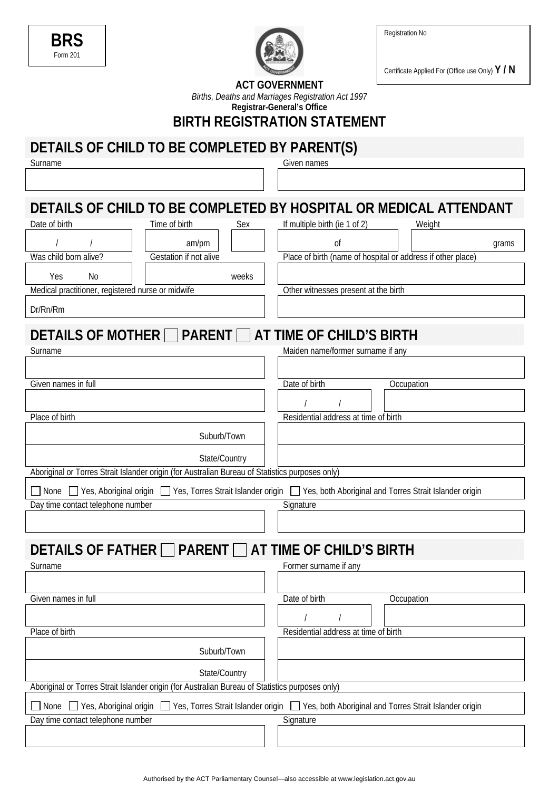Registration No

| ΒR<br>7  |  |
|----------|--|
| Form 201 |  |



Certificate Applied For (Office use Only) **Y / N** 

| <b>ACT GOVERNMENT</b> |  |
|-----------------------|--|
|-----------------------|--|

*Births, Deaths and Marriages Registration Act 1997*  **Registrar-General's Office**

**BIRTH REGISTRATION STATEMENT** 

# **DETAILS OF CHILD TO BE COMPLETED BY PARENT(S)**

Surname Given names

### **DETAILS OF CHILD TO BE COMPLETED BY HOSPITAL OR MEDICAL ATTENDANT** Date of birth Time of birth Sex If multiple birth (ie 1 of 2) Weight

|                                                       | am/pm                  | Οİ                                                          | grams |  |  |
|-------------------------------------------------------|------------------------|-------------------------------------------------------------|-------|--|--|
| Was child born alive?                                 | Gestation if not alive | Place of birth (name of hospital or address if other place) |       |  |  |
| Yes<br>No.                                            | weeks                  |                                                             |       |  |  |
| Medical practitioner, registered nurse or midwife     |                        | Other witnesses present at the birth                        |       |  |  |
| Dr/Rn/Rm                                              |                        |                                                             |       |  |  |
| DETAILS OF MOTHER □ PARENT □ AT TIME OF CHILD'S BIRTH |                        |                                                             |       |  |  |
| <b>Surname</b>                                        |                        | Maiden name/former surname if any                           |       |  |  |
|                                                       |                        |                                                             |       |  |  |

| Given names in full                                                                                                           | Date of birth<br>Occupation          |
|-------------------------------------------------------------------------------------------------------------------------------|--------------------------------------|
|                                                                                                                               |                                      |
|                                                                                                                               |                                      |
| Place of birth                                                                                                                | Residential address at time of birth |
| Suburb/Town                                                                                                                   |                                      |
| State/Country                                                                                                                 |                                      |
| Aboriginal or Torres Strait Islander origin (for Australian Bureau of Statistics purposes only)                               |                                      |
| None □ Yes, Aboriginal origin □ Yes, Torres Strait Islander origin □ Yes, both Aboriginal and Torres Strait Islander origin   |                                      |
| Day time contact telephone number                                                                                             | Signature                            |
|                                                                                                                               |                                      |
|                                                                                                                               |                                      |
| DETAILS OF FATHER □ PARENT □ AT TIME OF CHILD'S BIRTH                                                                         |                                      |
| Surname                                                                                                                       | Former surname if any                |
|                                                                                                                               |                                      |
| Given names in full                                                                                                           | Date of birth<br>Occupation          |
|                                                                                                                               |                                      |
| Place of birth                                                                                                                | Residential address at time of birth |
| Suburb/Town                                                                                                                   |                                      |
| State/Country                                                                                                                 |                                      |
| Aboriginal or Torres Strait Islander origin (for Australian Bureau of Statistics purposes only)                               |                                      |
| None Strait Islander origin Strait Islander origin Strait Islander origin Strait Aboriginal and Torres Strait Islander origin |                                      |
| Day time contact telephone number                                                                                             | Signature                            |
|                                                                                                                               |                                      |